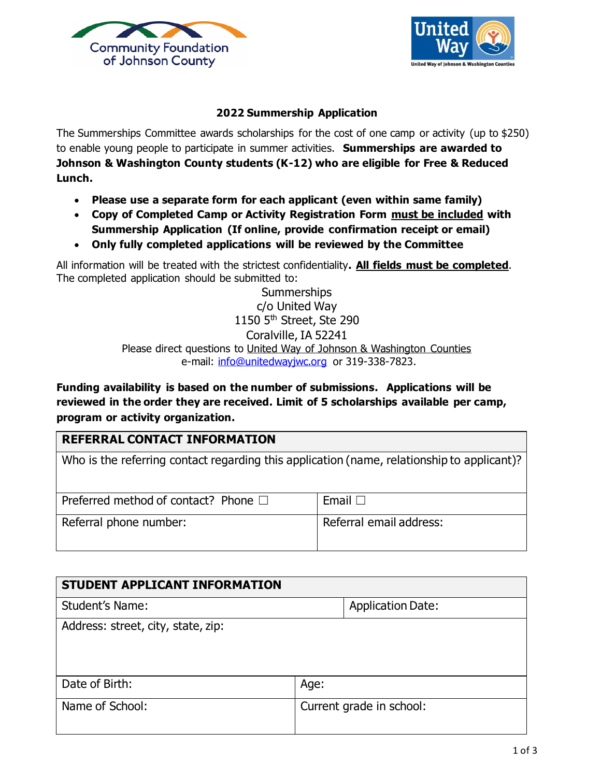



## **2022 Summership Application**

The Summerships Committee awards scholarships for the cost of one camp or activity (up to \$250) to enable young people to participate in summer activities. **Summerships are awarded to Johnson & Washington County students (K-12) who are eligible for Free & Reduced Lunch.**

- **Please use a separate form for each applicant (even within same family)**
- **Copy of Completed Camp or Activity Registration Form must be included with Summership Application (If online, provide confirmation receipt or email)**
- **Only fully completed applications will be reviewed by the Committee**

All information will be treated with the strictest confidentiality**. All fields must be completed**. The completed application should be submitted to:

> **Summerships** c/o United Way 1150 5<sup>th</sup> Street, Ste 290 Coralville, IA 52241 Please direct questions to United Way of Johnson & Washington Counties e-mail: [info@unitedwayjwc.org](mailto:info@unitedwayjwc.org) or 319-338-7823.

**Funding availability is based on the number of submissions. Applications will be reviewed in the order they are received. Limit of 5 scholarships available per camp, program or activity organization.**

## **REFERRAL CONTACT INFORMATION**

| Who is the referring contact regarding this application (name, relationship to applicant)? |                         |  |  |  |  |  |
|--------------------------------------------------------------------------------------------|-------------------------|--|--|--|--|--|
|                                                                                            |                         |  |  |  |  |  |
| Preferred method of contact? Phone $\Box$                                                  | Email $\Box$            |  |  |  |  |  |
| Referral phone number:                                                                     | Referral email address: |  |  |  |  |  |

| STUDENT APPLICANT INFORMATION      |                          |  |  |  |  |
|------------------------------------|--------------------------|--|--|--|--|
| <b>Student's Name:</b>             | <b>Application Date:</b> |  |  |  |  |
| Address: street, city, state, zip: |                          |  |  |  |  |
| Date of Birth:                     | Age:                     |  |  |  |  |
| Name of School:                    | Current grade in school: |  |  |  |  |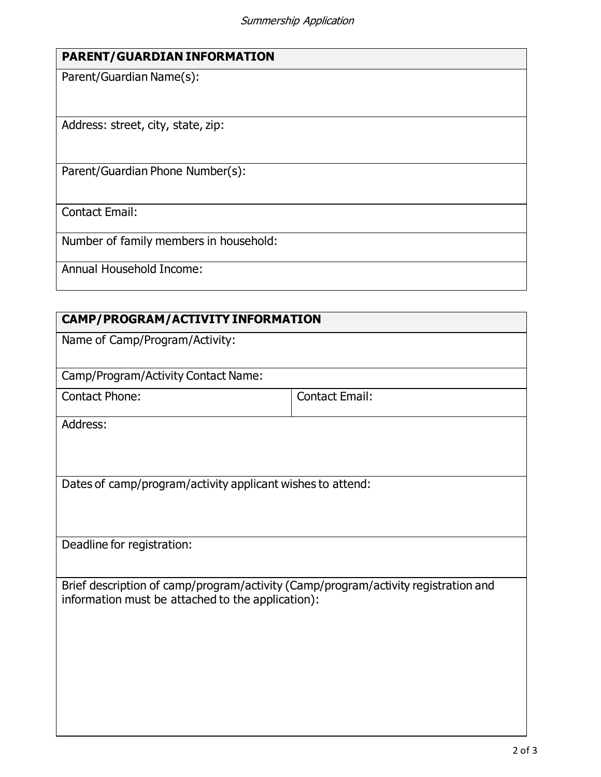| <b>PARENT/GUARDIAN INFORMATION</b> |  |
|------------------------------------|--|
|------------------------------------|--|

Parent/Guardian Name(s):

Address: street, city, state, zip:

Parent/Guardian Phone Number(s):

Contact Email:

Number of family members in household:

Annual Household Income:

## **CAMP/PROGRAM/ACTIVITY INFORMATION**

Name of Camp/Program/Activity:

Camp/Program/Activity Contact Name:

Contact Phone: Contact Email:

Address:

Dates of camp/program/activity applicant wishes to attend:

Deadline for registration:

Brief description of camp/program/activity (Camp/program/activity registration and information must be attached to the application):